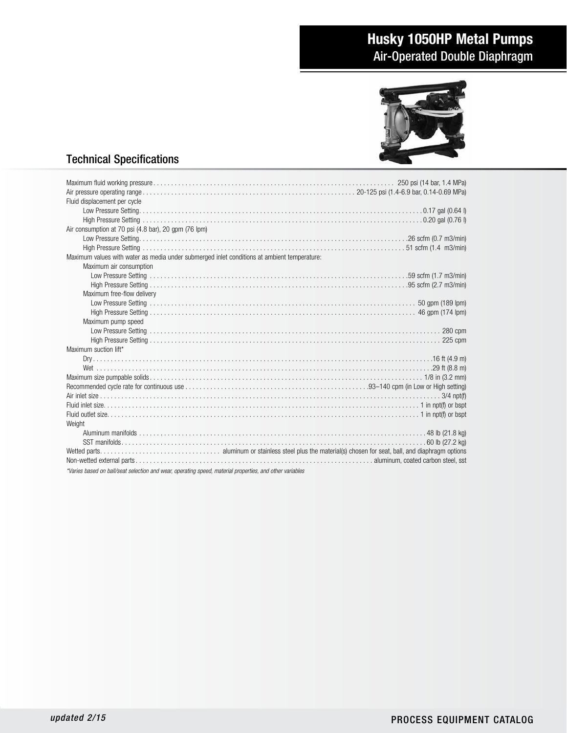# Husky 1050HP Metal Pumps Air-Operated Double Diaphragm



## Technical Specifications

| Fluid displacement per cycle                                                                             |
|----------------------------------------------------------------------------------------------------------|
|                                                                                                          |
|                                                                                                          |
| Air consumption at 70 psi (4.8 bar), 20 gpm (76 lpm)                                                     |
|                                                                                                          |
|                                                                                                          |
| Maximum values with water as media under submerged inlet conditions at ambient temperature:              |
| Maximum air consumption                                                                                  |
|                                                                                                          |
|                                                                                                          |
| Maximum free-flow delivery                                                                               |
|                                                                                                          |
|                                                                                                          |
| Maximum pump speed                                                                                       |
|                                                                                                          |
|                                                                                                          |
| Maximum suction lift*                                                                                    |
|                                                                                                          |
|                                                                                                          |
|                                                                                                          |
|                                                                                                          |
|                                                                                                          |
|                                                                                                          |
|                                                                                                          |
| Weight                                                                                                   |
|                                                                                                          |
|                                                                                                          |
|                                                                                                          |
|                                                                                                          |
| *Varies based on ball/seat selection and wear, operating speed, material properties, and other variables |